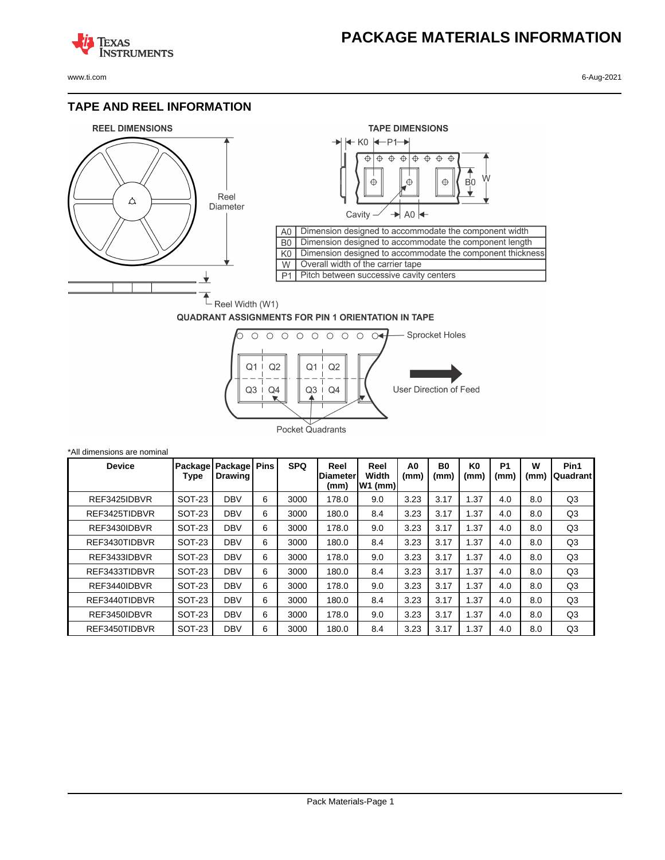## **PACKAGE MATERIALS INFORMATION**

**TEXAS NSTRUMENTS** 

## **TAPE AND REEL INFORMATION**





## **QUADRANT ASSIGNMENTS FOR PIN 1 ORIENTATION IN TAPE**



| *All dimensions are nominal |                 |                                  |   |            |                                 |                            |            |                        |                        |                   |           |                  |
|-----------------------------|-----------------|----------------------------------|---|------------|---------------------------------|----------------------------|------------|------------------------|------------------------|-------------------|-----------|------------------|
| <b>Device</b>               | Package<br>Type | Package   Pins<br><b>Drawing</b> |   | <b>SPQ</b> | Reel<br><b>Diameter</b><br>(mm) | Reel<br>Width<br>$W1$ (mm) | A0<br>(mm) | B <sub>0</sub><br>(mm) | K <sub>0</sub><br>(mm) | <b>P1</b><br>(mm) | W<br>(mm) | Pin1<br>Quadrant |
| REF3425IDBVR                | <b>SOT-23</b>   | <b>DBV</b>                       | 6 | 3000       | 178.0                           | 9.0                        | 3.23       | 3.17                   | 1.37                   | 4.0               | 8.0       | Q <sub>3</sub>   |
| REF3425TIDBVR               | SOT-23          | <b>DBV</b>                       | 6 | 3000       | 180.0                           | 8.4                        | 3.23       | 3.17                   | 1.37                   | 4.0               | 8.0       | Q3               |
| REF3430IDBVR                | <b>SOT-23</b>   | <b>DBV</b>                       | 6 | 3000       | 178.0                           | 9.0                        | 3.23       | 3.17                   | 1.37                   | 4.0               | 8.0       | Q <sub>3</sub>   |
| REF3430TIDBVR               | <b>SOT-23</b>   | <b>DBV</b>                       | 6 | 3000       | 180.0                           | 8.4                        | 3.23       | 3.17                   | 1.37                   | 4.0               | 8.0       | Q3               |
| REF3433IDBVR                | SOT-23          | <b>DBV</b>                       | 6 | 3000       | 178.0                           | 9.0                        | 3.23       | 3.17                   | 1.37                   | 4.0               | 8.0       | Q3               |
| REF3433TIDBVR               | SOT-23          | <b>DBV</b>                       | 6 | 3000       | 180.0                           | 8.4                        | 3.23       | 3.17                   | 1.37                   | 4.0               | 8.0       | Q <sub>3</sub>   |
| REF3440IDBVR                | SOT-23          | <b>DBV</b>                       | 6 | 3000       | 178.0                           | 9.0                        | 3.23       | 3.17                   | 1.37                   | 4.0               | 8.0       | Q <sub>3</sub>   |
| REF3440TIDBVR               | SOT-23          | <b>DBV</b>                       | 6 | 3000       | 180.0                           | 8.4                        | 3.23       | 3.17                   | 1.37                   | 4.0               | 8.0       | Q3               |
| REF3450IDBVR                | SOT-23          | <b>DBV</b>                       | 6 | 3000       | 178.0                           | 9.0                        | 3.23       | 3.17                   | 1.37                   | 4.0               | 8.0       | Q3               |
| REF3450TIDBVR               | <b>SOT-23</b>   | <b>DBV</b>                       | 6 | 3000       | 180.0                           | 8.4                        | 3.23       | 3.17                   | 1.37                   | 4.0               | 8.0       | Q3               |